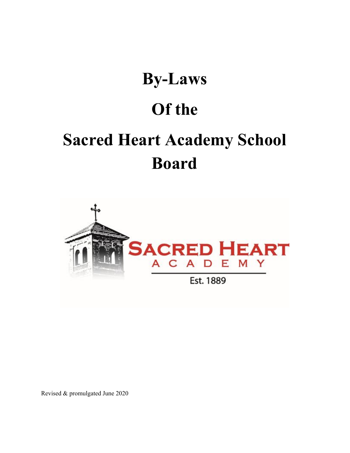# **By-Laws**

# **Of the**

# **Sacred Heart Academy School Board**



Revised & promulgated June 2020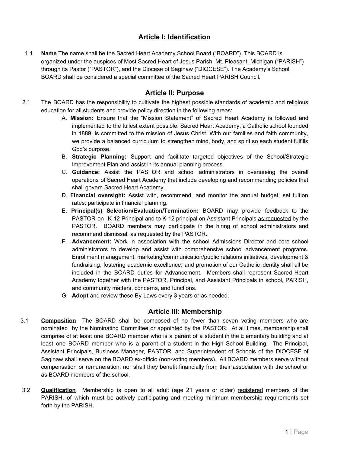# **Article I: Identification**

1.1 **Name** The name shall be the Sacred Heart Academy School Board ("BOARD"). This BOARD is organized under the auspices of Most Sacred Heart of Jesus Parish, Mt. Pleasant, Michigan ("PARISH") through its Pastor ("PASTOR"), and the Diocese of Saginaw ("DIOCESE"). The Academy's School BOARD shall be considered a special committee of the Sacred Heart PARISH Council.

# **Article II: Purpose**

- 2.1 The BOARD has the responsibility to cultivate the highest possible standards of academic and religious education for all students and provide policy direction in the following areas:
	- A. **Mission:** Ensure that the "Mission Statement" of Sacred Heart Academy is followed and implemented to the fullest extent possible. Sacred Heart Academy, a Catholic school founded in 1889, is committed to the mission of Jesus Christ. With our families and faith community, we provide a balanced curriculum to strengthen mind, body, and spirit so each student fulfills God's purpose.
	- B. **Strategic Planning:** Support and facilitate targeted objectives of the School/Strategic Improvement Plan and assist in its annual planning process.
	- C. **Guidance:** Assist the PASTOR and school administrators in overseeing the overall operations of Sacred Heart Academy that include developing and recommending policies that shall govern Sacred Heart Academy.
	- D. **Financial oversight:** Assist with, recommend, and monitor the annual budget; set tuition rates; participate in financial planning.
	- E. **Principal(s) Selection/Evaluation/Termination:** BOARD may provide feedback to the PASTOR on K-12 Principal and to K-12 principal on Assistant Principals as requested by the PASTOR. BOARD members may participate in the hiring of school administrators and recommend dismissal, as requested by the PASTOR.
	- F. **Advancement:** Work in association with the school Admissions Director and core school administrators to develop and assist with comprehensive school advancement programs. Enrollment management; marketing/communication/public relations initiatives; development & fundraising; fostering academic excellence; and promotion of our Catholic identity shall all be included in the BOARD duties for Advancement. Members shall represent Sacred Heart Academy together with the PASTOR, Principal, and Assistant Principals in school, PARISH, and community matters, concerns, and functions.
	- G. **Adopt** and review these By-Laws every 3 years or as needed.

# **Article III: Membership**

- 3.1 **Composition** The BOARD shall be composed of no fewer than seven voting members who are nominated by the Nominating Committee or appointed by the PASTOR. At all times, membership shall comprise of at least one BOARD member who is a parent of a student in the Elementary building and at least one BOARD member who is a parent of a student in the High School Building. The Principal, Assistant Principals, Business Manager, PASTOR, and Superintendent of Schools of the DIOCESE of Saginaw shall serve on the BOARD ex-officio (non-voting members). All BOARD members serve without compensation or remuneration, nor shall they benefit financially from their association with the school or as BOARD members of the school.
- 3.2 **Qualification** Membership is open to all adult (age 21 years or older) registered members of the PARISH, of which must be actively participating and meeting minimum membership requirements set forth by the PARISH.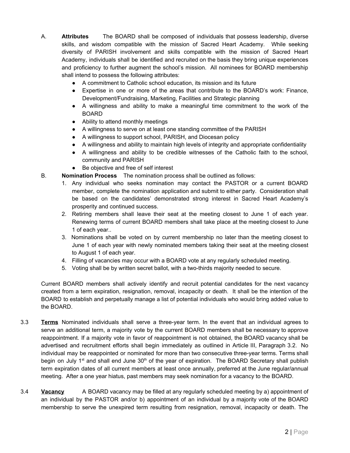- A. **Attributes** The BOARD shall be composed of individuals that possess leadership, diverse skills, and wisdom compatible with the mission of Sacred Heart Academy. While seeking diversity of PARISH involvement and skills compatible with the mission of Sacred Heart Academy, individuals shall be identified and recruited on the basis they bring unique experiences and proficiency to further augment the school's mission. All nominees for BOARD membership shall intend to possess the following attributes:
	- A commitment to Catholic school education, its mission and its future
	- Expertise in one or more of the areas that contribute to the BOARD's work: Finance, Development/Fundraising, Marketing, Facilities and Strategic planning
	- A willingness and ability to make a meaningful time commitment to the work of the BOARD
	- Ability to attend monthly meetings
	- A willingness to serve on at least one standing committee of the PARISH
	- A willingness to support school, PARISH, and Diocesan policy
	- A willingness and ability to maintain high levels of integrity and appropriate confidentiality
	- A willingness and ability to be credible witnesses of the Catholic faith to the school, community and PARISH
	- Be objective and free of self interest
- B. **Nomination Process** The nomination process shall be outlined as follows:
	- 1. Any individual who seeks nomination may contact the PASTOR or a current BOARD member, complete the nomination application and submit to either party. Consideration shall be based on the candidates' demonstrated strong interest in Sacred Heart Academy's prosperity and continued success.
	- 2. Retiring members shall leave their seat at the meeting closest to June 1 of each year. Renewing terms of current BOARD members shall take place at the meeting closest to June 1 of each year..
	- 3. Nominations shall be voted on by current membership no later than the meeting closest to June 1 of each year with newly nominated members taking their seat at the meeting closest to August 1 of each year.
	- 4. Filling of vacancies may occur with a BOARD vote at any regularly scheduled meeting.
	- 5. Voting shall be by written secret ballot, with a two-thirds majority needed to secure.

Current BOARD members shall actively identify and recruit potential candidates for the next vacancy created from a term expiration, resignation, removal, incapacity or death. It shall be the intention of the BOARD to establish and perpetually manage a list of potential individuals who would bring added value to the BOARD.

- 3.3 **Terms** Nominated individuals shall serve a three-year term. In the event that an individual agrees to serve an additional term, a majority vote by the current BOARD members shall be necessary to approve reappointment. If a majority vote in favor of reappointment is not obtained, the BOARD vacancy shall be advertised and recruitment efforts shall begin immediately as outlined in Article III, Paragraph 3.2. No individual may be reappointed or nominated for more than two consecutive three-year terms. Terms shall begin on July 1<sup>st</sup> and shall end June 30<sup>th</sup> of the year of expiration. The BOARD Secretary shall publish term expiration dates of all current members at least once annually, preferred at the June regular/annual meeting. After a one year hiatus, past members may seek nomination for a vacancy to the BOARD.
- 3.4 **Vacancy** A BOARD vacancy may be filled at any regularly scheduled meeting by a) appointment of an individual by the PASTOR and/or b) appointment of an individual by a majority vote of the BOARD membership to serve the unexpired term resulting from resignation, removal, incapacity or death. The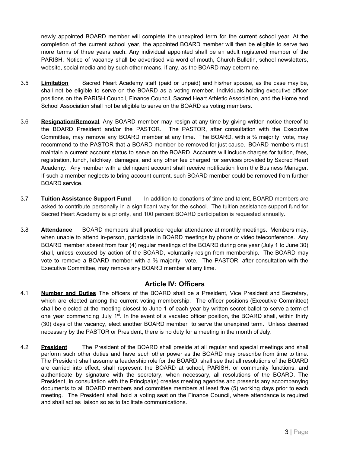newly appointed BOARD member will complete the unexpired term for the current school year. At the completion of the current school year, the appointed BOARD member will then be eligible to serve two more terms of three years each. Any individual appointed shall be an adult registered member of the PARISH. Notice of vacancy shall be advertised via word of mouth, Church Bulletin, school newsletters, website, social media and by such other means, if any, as the BOARD may determine.

- 3.5 **Limitation** Sacred Heart Academy staff (paid or unpaid) and his/her spouse, as the case may be, shall not be eligible to serve on the BOARD as a voting member. Individuals holding executive officer positions on the PARISH Council, Finance Council, Sacred Heart Athletic Association, and the Home and School Association shall not be eligible to serve on the BOARD as voting members.
- 3.6 **Resignation/Removal** Any BOARD member may resign at any time by giving written notice thereof to the BOARD President and/or the PASTOR. The PASTOR, after consultation with the Executive Committee, may remove any BOARD member at any time. The BOARD, with a ⅔ majority vote, may recommend to the PASTOR that a BOARD member be removed for just cause. BOARD members must maintain a current account status to serve on the BOARD. Accounts will include charges for tuition, fees, registration, lunch, latchkey, damages, and any other fee charged for services provided by Sacred Heart Academy. Any member with a delinquent account shall receive notification from the Business Manager. If such a member neglects to bring account current, such BOARD member could be removed from further BOARD service.
- 3.7 **Tuition Assistance Support Fund** In addition to donations of time and talent, BOARD members are asked to contribute personally in a significant way for the school. The tuition assistance support fund for Sacred Heart Academy is a priority, and 100 percent BOARD participation is requested annually.
- 3.8 **Attendance** BOARD members shall practice regular attendance at monthly meetings. Members may, when unable to attend in-person, participate in BOARD meetings by phone or video teleconference. Any BOARD member absent from four (4) regular meetings of the BOARD during one year (July 1 to June 30) shall, unless excused by action of the BOARD, voluntarily resign from membership. The BOARD may vote to remove a BOARD member with a ⅔ majority vote. The PASTOR, after consultation with the Executive Committee, may remove any BOARD member at any time.

# **Article IV: Officers**

- 4.1 **Number and Duties** The officers of the BOARD shall be a President, Vice President and Secretary, which are elected among the current voting membership. The officer positions (Executive Committee) shall be elected at the meeting closest to June 1 of each year by written secret ballot to serve a term of one year commencing July 1<sup>st</sup>. In the event of a vacated officer position, the BOARD shall, within thirty (30) days of the vacancy, elect another BOARD member to serve the unexpired term. Unless deemed necessary by the PASTOR or President, there is no duty for a meeting in the month of July.
- 4.2 **President** The President of the BOARD shall preside at all regular and special meetings and shall perform such other duties and have such other power as the BOARD may prescribe from time to time. The President shall assume a leadership role for the BOARD, shall see that all resolutions of the BOARD are carried into effect, shall represent the BOARD at school, PARISH, or community functions, and authenticate by signature with the secretary, when necessary, all resolutions of the BOARD. The President, in consultation with the Principal(s) creates meeting agendas and presents any accompanying documents to all BOARD members and committee members at least five (5) working days prior to each meeting. The President shall hold a voting seat on the Finance Council, where attendance is required and shall act as liaison so as to facilitate communications.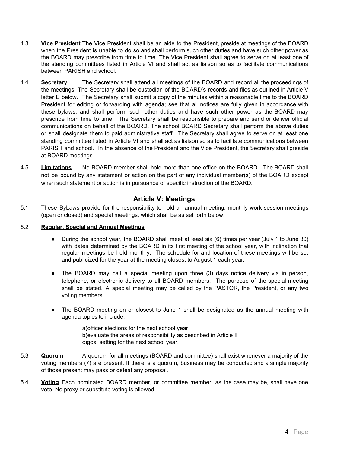- 4.3 **Vice President** The Vice President shall be an aide to the President, preside at meetings of the BOARD when the President is unable to do so and shall perform such other duties and have such other power as the BOARD may prescribe from time to time. The Vice President shall agree to serve on at least one of the standing committees listed in Article VI and shall act as liaison so as to facilitate communications between PARISH and school.
- 4.4 **Secretary** The Secretary shall attend all meetings of the BOARD and record all the proceedings of the meetings. The Secretary shall be custodian of the BOARD's records and files as outlined in Article V letter E below. The Secretary shall submit a copy of the minutes within a reasonable time to the BOARD President for editing or forwarding with agenda; see that all notices are fully given in accordance with these bylaws; and shall perform such other duties and have such other power as the BOARD may prescribe from time to time. The Secretary shall be responsible to prepare and send or deliver official communications on behalf of the BOARD. The school BOARD Secretary shall perform the above duties or shall designate them to paid administrative staff. The Secretary shall agree to serve on at least one standing committee listed in Article VI and shall act as liaison so as to facilitate communications between PARISH and school. In the absence of the President and the Vice President, the Secretary shall preside at BOARD meetings.
- 4.5 **Limitations** No BOARD member shall hold more than one office on the BOARD. The BOARD shall not be bound by any statement or action on the part of any individual member(s) of the BOARD except when such statement or action is in pursuance of specific instruction of the BOARD.

# **Article V: Meetings**

5.1 These ByLaws provide for the responsibility to hold an annual meeting, monthly work session meetings (open or closed) and special meetings, which shall be as set forth below:

#### 5.2 **Regular, Special and Annual Meetings**

- During the school year, the BOARD shall meet at least six (6) times per year (July 1 to June 30) with dates determined by the BOARD in its first meeting of the school year, with inclination that regular meetings be held monthly. The schedule for and location of these meetings will be set and publicized for the year at the meeting closest to August 1 each year.
- The BOARD may call a special meeting upon three (3) days notice delivery via in person, telephone, or electronic delivery to all BOARD members. The purpose of the special meeting shall be stated. A special meeting may be called by the PASTOR, the President, or any two voting members.
- The BOARD meeting on or closest to June 1 shall be designated as the annual meeting with agenda topics to include:
	- a)officer elections for the next school year b)evaluate the areas of responsibility as described in Article II c)goal setting for the next school year.
- 5.3 **Quorum** A quorum for all meetings (BOARD and committee) shall exist whenever a majority of the voting members (7) are present. If there is a quorum, business may be conducted and a simple majority of those present may pass or defeat any proposal.
- 5.4 **Voting** Each nominated BOARD member, or committee member, as the case may be, shall have one vote. No proxy or substitute voting is allowed.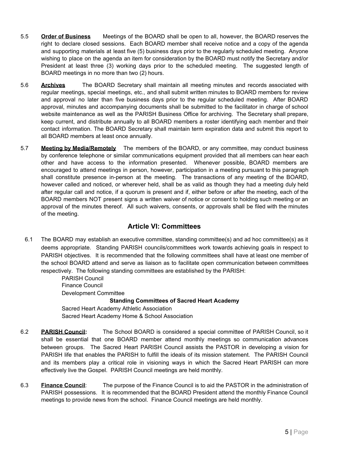- 5.5 **Order of Business** Meetings of the BOARD shall be open to all, however, the BOARD reserves the right to declare closed sessions. Each BOARD member shall receive notice and a copy of the agenda and supporting materials at least five (5) business days prior to the regularly scheduled meeting. Anyone wishing to place on the agenda an item for consideration by the BOARD must notify the Secretary and/or President at least three (3) working days prior to the scheduled meeting. The suggested length of BOARD meetings in no more than two (2) hours.
- 5.6 **Archives** The BOARD Secretary shall maintain all meeting minutes and records associated with regular meetings, special meetings, etc., and shall submit written minutes to BOARD members for review and approval no later than five business days prior to the regular scheduled meeting. After BOARD approval, minutes and accompanying documents shall be submitted to the facilitator in charge of school website maintenance as well as the PARISH Business Office for archiving. The Secretary shall prepare, keep current, and distribute annually to all BOARD members a roster identifying each member and their contact information. The BOARD Secretary shall maintain term expiration data and submit this report to all BOARD members at least once annually.
- 5.7 **Meeting by Media/Remotely** The members of the BOARD, or any committee, may conduct business by conference telephone or similar communications equipment provided that all members can hear each other and have access to the information presented. Whenever possible, BOARD members are encouraged to attend meetings in person, however, participation in a meeting pursuant to this paragraph shall constitute presence in-person at the meeting. The transactions of any meeting of the BOARD, however called and noticed, or wherever held, shall be as valid as though they had a meeting duly held after regular call and notice, if a quorum is present and if, either before or after the meeting, each of the BOARD members NOT present signs a written waiver of notice or consent to holding such meeting or an approval of the minutes thereof. All such waivers, consents, or approvals shall be filed with the minutes of the meeting.

# **Article VI: Committees**

6.1 The BOARD may establish an executive committee, standing committee(s) and ad hoc committee(s) as it deems appropriate. Standing PARISH councils/committees work towards achieving goals in respect to PARISH objectives. It is recommended that the following committees shall have at least one member of the school BOARD attend and serve as liaison as to facilitate open communication between committees respectively. The following standing committees are established by the PARISH:

> PARISH Council Finance Council Development Committee **Standing Committees of Sacred Heart Academy** Sacred Heart Academy Athletic Association Sacred Heart Academy Home & School Association

- 6.2 **PARISH Council:** The School BOARD is considered a special committee of PARISH Council, so it shall be essential that one BOARD member attend monthly meetings so communication advances between groups. The Sacred Heart PARISH Council assists the PASTOR in developing a vision for PARISH life that enables the PARISH to fulfill the ideals of its mission statement. The PARISH Council and its members play a critical role in visioning ways in which the Sacred Heart PARISH can more effectively live the Gospel. PARISH Council meetings are held monthly.
- 6.3 **Finance Council**: The purpose of the Finance Council is to aid the PASTOR in the administration of PARISH possessions. It is recommended that the BOARD President attend the monthly Finance Council meetings to provide news from the school. Finance Council meetings are held monthly.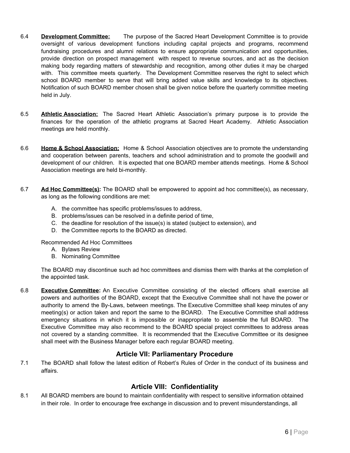- 6.4 **Development Committee:** The purpose of the Sacred Heart Development Committee is to provide oversight of various development functions including capital projects and programs, recommend fundraising procedures and alumni relations to ensure appropriate communication and opportunities, provide direction on prospect management with respect to revenue sources, and act as the decision making body regarding matters of stewardship and recognition, among other duties it may be charged with. This committee meets quarterly. The Development Committee reserves the right to select which school BOARD member to serve that will bring added value skills and knowledge to its objectives. Notification of such BOARD member chosen shall be given notice before the quarterly committee meeting held in July.
- 6.5 **Athletic Association:** The Sacred Heart Athletic Association's primary purpose is to provide the finances for the operation of the athletic programs at Sacred Heart Academy. Athletic Association meetings are held monthly.
- 6.6 **Home & School Association:** Home & School Association objectives are to promote the understanding and cooperation between parents, teachers and school administration and to promote the goodwill and development of our children. It is expected that one BOARD member attends meetings. Home & School Association meetings are held bi-monthly.
- 6.7 **Ad Hoc Committee(s):** The BOARD shall be empowered to appoint ad hoc committee(s), as necessary, as long as the following conditions are met:
	- A. the committee has specific problems/issues to address,
	- B. problems/issues can be resolved in a definite period of time,
	- C. the deadline for resolution of the issue(s) is stated (subject to extension), and
	- D. the Committee reports to the BOARD as directed.

Recommended Ad Hoc Committees

- A. Bylaws Review
- B. Nominating Committee

The BOARD may discontinue such ad hoc committees and dismiss them with thanks at the completion of the appointed task.

6.8 **Executive Committee:** An Executive Committee consisting of the elected officers shall exercise all powers and authorities of the BOARD, except that the Executive Committee shall not have the power or authority to amend the By-Laws, between meetings. The Executive Committee shall keep minutes of any meeting(s) or action taken and report the same to the BOARD. The Executive Committee shall address emergency situations in which it is impossible or inappropriate to assemble the full BOARD. The Executive Committee may also recommend to the BOARD special project committees to address areas not covered by a standing committee. It is recommended that the Executive Committee or its designee shall meet with the Business Manager before each regular BOARD meeting.

# **Article VII: Parliamentary Procedure**

7.1 The BOARD shall follow the latest edition of Robert's Rules of Order in the conduct of its business and affairs.

# **Article VIII: Confidentiality**

8.1 All BOARD members are bound to maintain confidentiality with respect to sensitive information obtained in their role. In order to encourage free exchange in discussion and to prevent misunderstandings, all